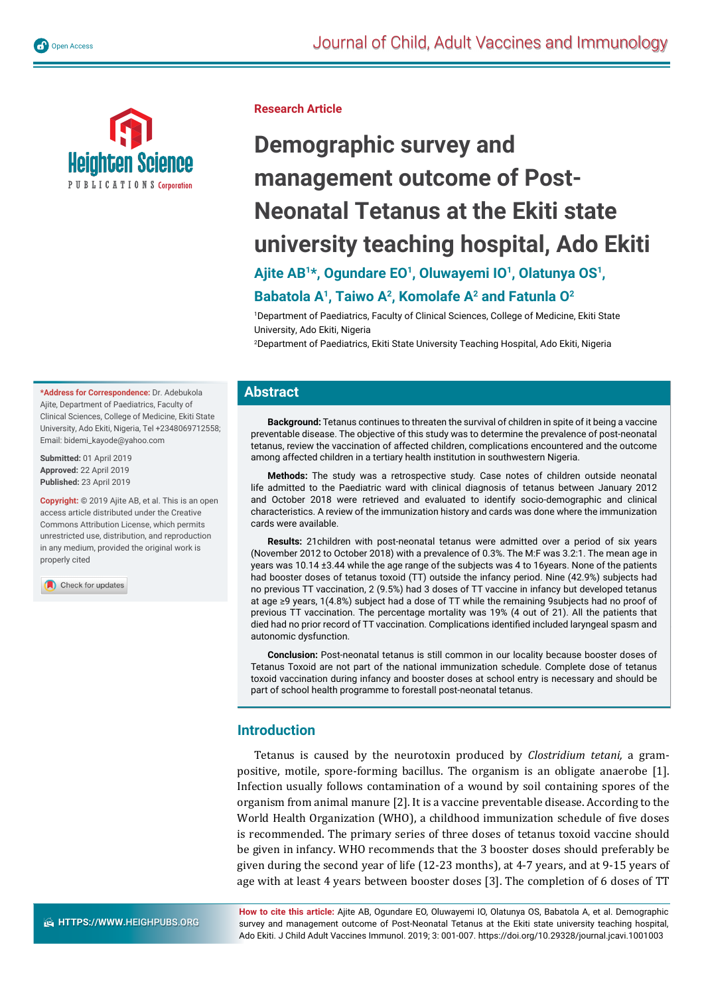



**Research Article**

# **Demographic survey and management outcome of Post-Neonatal Tetanus at the Ekiti state university teaching hospital, Ado Ekiti**

Ajite AB<sup>1\*</sup>, Ogundare EO<sup>1</sup>, Oluwayemi IO<sup>1</sup>, Olatunya OS<sup>1</sup>,

## **Babatola A1, Taiwo A2, Komolafe A2 and Fatunla O2**

1 Department of Paediatrics, Faculty of Clinical Sciences, College of Medicine, Ekiti State University, Ado Ekiti, Nigeria

2 Department of Paediatrics, Ekiti State University Teaching Hospital, Ado Ekiti, Nigeria

## **Abstract**

**Background:** Tetanus continues to threaten the survival of children in spite of it being a vaccine preventable disease. The objective of this study was to determine the prevalence of post-neonatal tetanus, review the vaccination of affected children, complications encountered and the outcome among affected children in a tertiary health institution in southwestern Nigeria.

**Methods:** The study was a retrospective study. Case notes of children outside neonatal life admitted to the Paediatric ward with clinical diagnosis of tetanus between January 2012 and October 2018 were retrieved and evaluated to identify socio-demographic and clinical characteristics. A review of the immunization history and cards was done where the immunization cards were available.

**Results:** 21children with post-neonatal tetanus were admitted over a period of six years (November 2012 to October 2018) with a prevalence of 0.3%. The M:F was 3.2:1. The mean age in years was 10.14 ±3.44 while the age range of the subjects was 4 to 16years. None of the patients had booster doses of tetanus toxoid (TT) outside the infancy period. Nine (42.9%) subjects had no previous TT vaccination, 2 (9.5%) had 3 doses of TT vaccine in infancy but developed tetanus at age ≥9 years, 1(4.8%) subject had a dose of TT while the remaining 9subjects had no proof of previous TT vaccination. The percentage mortality was 19% (4 out of 21). All the patients that died had no prior record of TT vaccination. Complications identified included laryngeal spasm and autonomic dysfunction.

**Conclusion:** Post-neonatal tetanus is still common in our locality because booster doses of Tetanus Toxoid are not part of the national immunization schedule. Complete dose of tetanus toxoid vaccination during infancy and booster doses at school entry is necessary and should be part of school health programme to forestall post-neonatal tetanus.

## **Introduction**

Tetanus is caused by the neurotoxin produced by *Clostridium tetani,* a grampositive, motile, spore-forming bacillus. The organism is an obligate anaerobe [1]. Infection usually follows contamination of a wound by soil containing spores of the organism from animal manure [2]. It is a vaccine preventable disease. According to the World Health Organization (WHO), a childhood immunization schedule of five doses is recommended. The primary series of three doses of tetanus toxoid vaccine should be given in infancy. WHO recommends that the 3 booster doses should preferably be given during the second year of life (12-23 months), at 4-7 years, and at 9-15 years of age with at least 4 years between booster doses [3]. The completion of 6 doses of TT

**How to cite this article:** Ajite AB, Ogundare EO, Oluwayemi IO, Olatunya OS, Babatola A, et al. Demographic survey and management outcome of Post-Neonatal Tetanus at the Ekiti state university teaching hospital, Ado Ekiti. J Child Adult Vaccines Immunol. 2019; 3: 001-007. https://doi.org/10.29328/journal.jcavi.1001003

**\*Address for Correspondence:** Dr. Adebukola Ajite, Department of Paediatrics, Faculty of Clinical Sciences, College of Medicine, Ekiti State University, Ado Ekiti, Nigeria, Tel +2348069712558; Email: bidemi\_kayode@yahoo.com

**Submitted:** 01 April 2019 **Approved:** 22 April 2019 **Published:** 23 April 2019

**Copyright: ©** 2019 Ajite AB, et al. This is an open access article distributed under the Creative Commons Attribution License, which permits unrestricted use, distribution, and reproduction in any medium, provided the original work is properly cited

Check for updates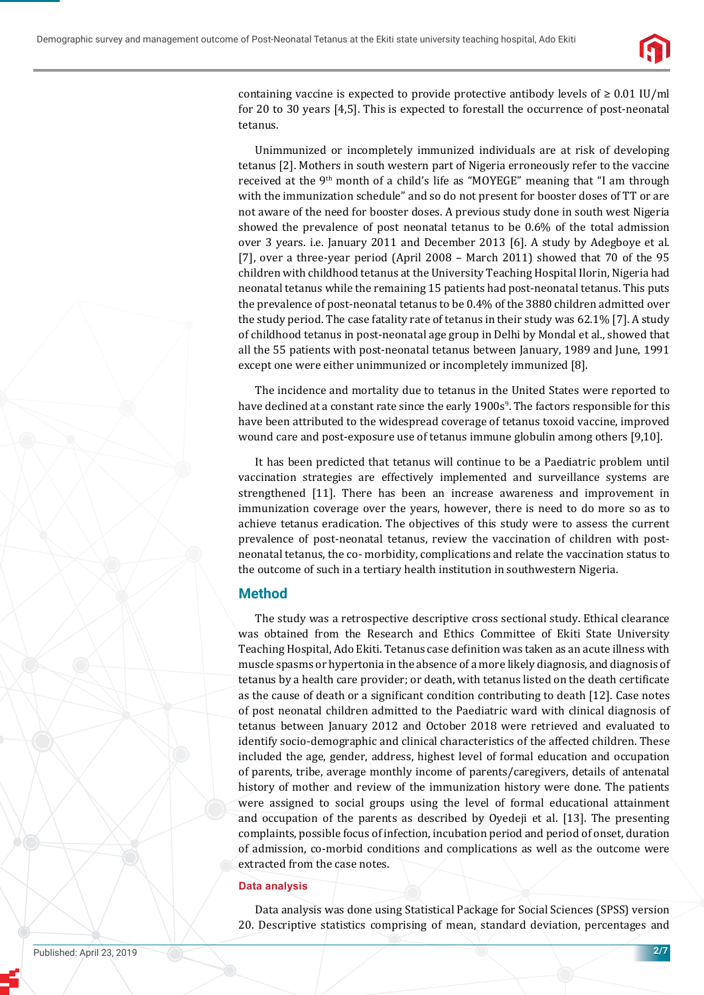

containing vaccine is expected to provide protective antibody levels of  $\geq 0.01$  IU/ml for 20 to 30 years [4,5]. This is expected to forestall the occurrence of post-neonatal tetanus.

Unimmunized or incompletely immunized individuals are at risk of developing tetanus [2]. Mothers in south western part of Nigeria erroneously refer to the vaccine received at the 9<sup>th</sup> month of a child's life as "MOYEGE" meaning that "I am through with the immunization schedule" and so do not present for booster doses of TT or are not aware of the need for booster doses. A previous study done in south west Nigeria showed the prevalence of post neonatal tetanus to be 0.6% of the total admission over 3 years. i.e. January 2011 and December 2013 [6]. A study by Adegboye et al. [7], over a three-year period (April 2008 – March 2011) showed that 70 of the 95 children with childhood tetanus at the University Teaching Hospital Ilorin, Nigeria had neonatal tetanus while the remaining 15 patients had post-neonatal tetanus. This puts the prevalence of post-neonatal tetanus to be 0.4% of the 3880 children admitted over the study period. The case fatality rate of tetanus in their study was 62.1% [7]. A study of childhood tetanus in post-neonatal age group in Delhi by Mondal et al., showed that all the 55 patients with post-neonatal tetanus between January, 1989 and June, 1991 except one were either unimmunized or incompletely immunized [8].

The incidence and mortality due to tetanus in the United States were reported to have declined at a constant rate since the early 1900s<sup>9</sup>. The factors responsible for this have been attributed to the widespread coverage of tetanus toxoid vaccine, improved wound care and post-exposure use of tetanus immune globulin among others [9,10].

It has been predicted that tetanus will continue to be a Paediatric problem until vaccination strategies are effectively implemented and surveillance systems are strengthened [11]. There has been an increase awareness and improvement in immunization coverage over the years, however, there is need to do more so as to achieve tetanus eradication. The objectives of this study were to assess the current prevalence of post-neonatal tetanus, review the vaccination of children with postneonatal tetanus, the co- morbidity, complications and relate the vaccination status to the outcome of such in a tertiary health institution in southwestern Nigeria.

## **Method**

The study was a retrospective descriptive cross sectional study. Ethical clearance was obtained from the Research and Ethics Committee of Ekiti State University Teaching Hospital, Ado Ekiti. Tetanus case definition was taken as an acute illness with muscle spasms or hypertonia in the absence of a more likely diagnosis, and diagnosis of tetanus by a health care provider; or death, with tetanus listed on the death certificate as the cause of death or a significant condition contributing to death [12]. Case notes of post neonatal children admitted to the Paediatric ward with clinical diagnosis of tetanus between January 2012 and October 2018 were retrieved and evaluated to identify socio-demographic and clinical characteristics of the affected children. These included the age, gender, address, highest level of formal education and occupation of parents, tribe, average monthly income of parents/caregivers, details of antenatal history of mother and review of the immunization history were done. The patients were assigned to social groups using the level of formal educational attainment and occupation of the parents as described by Oyedeji et al. [13]. The presenting complaints, possible focus of infection, incubation period and period of onset, duration of admission, co-morbid conditions and complications as well as the outcome were extracted from the case notes.

#### **Data analysis**

Data analysis was done using Statistical Package for Social Sciences (SPSS) version 20. Descriptive statistics comprising of mean, standard deviation, percentages and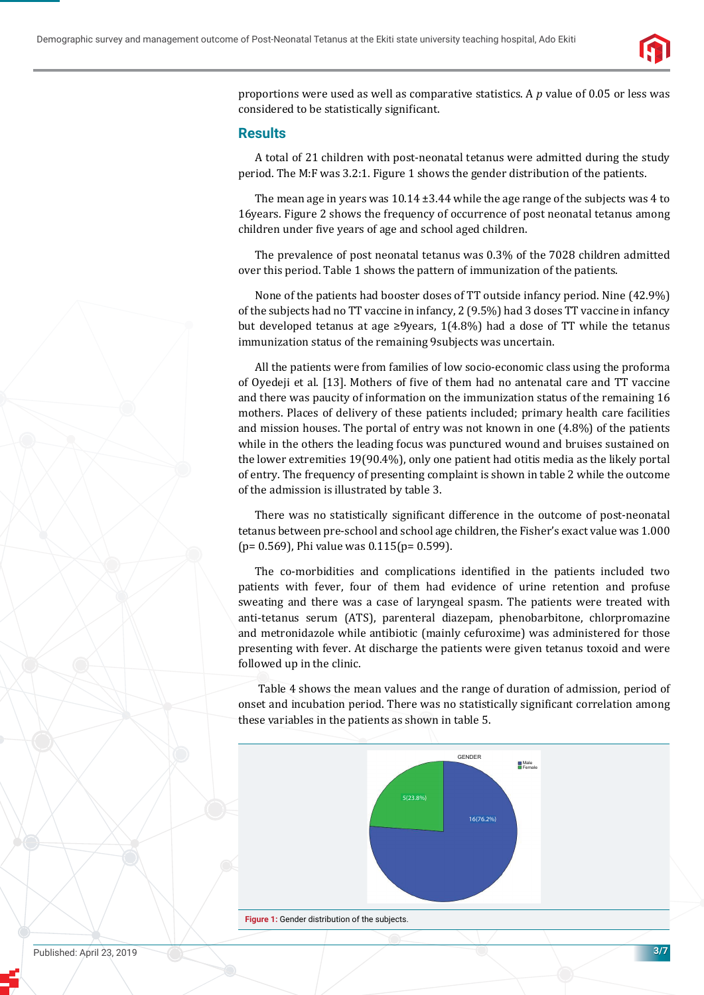

proportions were used as well as comparative statistics. A *p* value of 0.05 or less was considered to be statistically significant.

#### **Results**

A total of 21 children with post-neonatal tetanus were admitted during the study period. The M:F was 3.2:1. Figure 1 shows the gender distribution of the patients.

The mean age in years was  $10.14 \pm 3.44$  while the age range of the subjects was 4 to 16years. Figure 2 shows the frequency of occurrence of post neonatal tetanus among children under five years of age and school aged children.

The prevalence of post neonatal tetanus was 0.3% of the 7028 children admitted over this period. Table 1 shows the pattern of immunization of the patients.

None of the patients had booster doses of TT outside infancy period. Nine (42.9%) of the subjects had no TT vaccine in infancy, 2 (9.5%) had 3 doses TT vaccine in infancy but developed tetanus at age ≥9years, 1(4.8%) had a dose of TT while the tetanus immunization status of the remaining 9subjects was uncertain.

All the patients were from families of low socio-economic class using the proforma of Oyedeji et al. [13]. Mothers of five of them had no antenatal care and TT vaccine and there was paucity of information on the immunization status of the remaining 16 mothers. Places of delivery of these patients included; primary health care facilities and mission houses. The portal of entry was not known in one (4.8%) of the patients while in the others the leading focus was punctured wound and bruises sustained on the lower extremities 19(90.4%), only one patient had otitis media as the likely portal of entry. The frequency of presenting complaint is shown in table 2 while the outcome of the admission is illustrated by table 3.

There was no statistically significant difference in the outcome of post-neonatal tetanus between pre-school and school age children, the Fisher's exact value was 1.000 (p= 0.569), Phi value was 0.115(p= 0.599).

The co-morbidities and complications identified in the patients included two patients with fever, four of them had evidence of urine retention and profuse sweating and there was a case of laryngeal spasm. The patients were treated with anti-tetanus serum (ATS), parenteral diazepam, phenobarbitone, chlorpromazine and metronidazole while antibiotic (mainly cefuroxime) was administered for those presenting with fever. At discharge the patients were given tetanus toxoid and were followed up in the clinic.

 Table 4 shows the mean values and the range of duration of admission, period of onset and incubation period. There was no statistically significant correlation among these variables in the patients as shown in table 5.



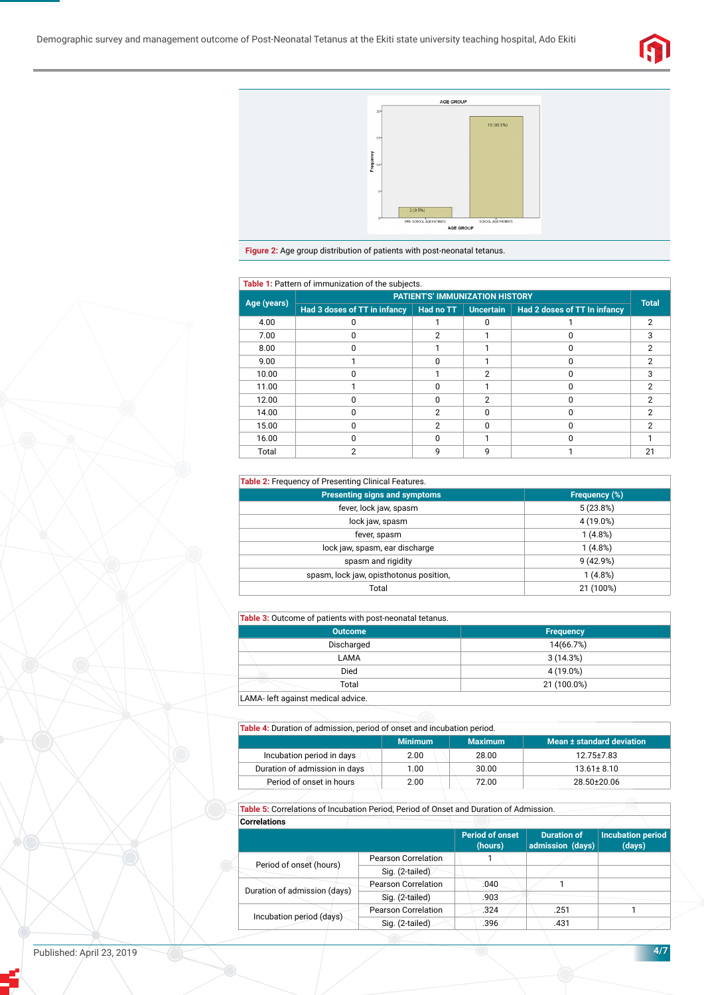



**Figure 2:** Age group distribution of patients with post-neonatal tetanus.

| Table 1: Pattern of immunization of the subjects. |                                        |               |                  |                              |              |  |  |
|---------------------------------------------------|----------------------------------------|---------------|------------------|------------------------------|--------------|--|--|
| Age (years)                                       | <b>PATIENT'S' IMMUNIZATION HISTORY</b> |               |                  |                              |              |  |  |
|                                                   | Had 3 doses of TT in infancy           | Had no TT     | <b>Uncertain</b> | Had 2 doses of TT In infancy | <b>Total</b> |  |  |
| 4.00                                              |                                        |               |                  |                              | っ            |  |  |
| 7.00                                              |                                        | 2             |                  |                              | з            |  |  |
| 8.00                                              |                                        |               |                  |                              | っ            |  |  |
| 9.00                                              |                                        | ŋ             |                  |                              | っ            |  |  |
| 10.00                                             |                                        |               | 2                |                              | 3            |  |  |
| 11.00                                             |                                        | U             |                  |                              | າ            |  |  |
| 12.00                                             |                                        | U             | 2                |                              | っ            |  |  |
| 14.00                                             |                                        | $\mathcal{P}$ |                  |                              | っ            |  |  |
| 15.00                                             |                                        | 2             |                  |                              |              |  |  |
| 16.00                                             |                                        | n             |                  |                              |              |  |  |
| Total                                             | っ                                      | g             | q                |                              | 21           |  |  |

#### **Table 2:** Frequency of Presenting Clinical Features.

| <b>Presenting signs and symptoms</b>    | Frequency (%) |
|-----------------------------------------|---------------|
| fever, lock jaw, spasm                  | 5(23.8%)      |
| lock jaw, spasm                         | 4 (19.0%)     |
| fever, spasm                            | 1(4.8%)       |
| lock jaw, spasm, ear discharge          | 1(4.8%)       |
| spasm and rigidity                      | 9(42.9%)      |
| spasm, lock jaw, opisthotonus position, | 1(4.8%)       |
| Total                                   | 21 (100%)     |

#### **Table 3:** Outcome of patients with post-neonatal tetanus.

| <b>Table of Satoonic of patients mini-post heoriatal tetango.</b> |                  |  |  |  |
|-------------------------------------------------------------------|------------------|--|--|--|
| <b>Outcome</b>                                                    | <b>Frequency</b> |  |  |  |
| Discharged                                                        | 14(66.7%)        |  |  |  |
| LAMA                                                              | 3(14.3%)         |  |  |  |
| Died                                                              | 4 (19.0%)        |  |  |  |
| Total                                                             | 21 (100.0%)      |  |  |  |
| LAMA- left against medical advice.                                |                  |  |  |  |

## **Table 4:** Duration of admission, period of onset and incubation period.

|                               | <b>Minimum</b> | <b>Maximum</b> | Mean ± standard deviation <b>b</b> |
|-------------------------------|----------------|----------------|------------------------------------|
| Incubation period in days     | 2.00           | 28.00          | 12.75 ± 7.83                       |
| Duration of admission in days | 1.00           | 30.00          | $13.61 \pm 8.10$                   |
| Period of onset in hours      | 2.00           | 72.00          | 28.50±20.06                        |

**Table 5:** Correlations of Incubation Period, Period of Onset and Duration of Admission. **Correlations**

|                              |                            | <b>Period of onset</b><br>(hours) | <b>Duration of</b><br>admission (days) | <b>Incubation period</b><br>(days) |
|------------------------------|----------------------------|-----------------------------------|----------------------------------------|------------------------------------|
| Period of onset (hours)      | Pearson Correlation        |                                   |                                        |                                    |
|                              | Sig. (2-tailed)            |                                   |                                        |                                    |
|                              | <b>Pearson Correlation</b> | .040                              |                                        |                                    |
| Duration of admission (days) | Sig. (2-tailed)            | .903                              |                                        |                                    |
|                              | <b>Pearson Correlation</b> | .324                              | .251                                   |                                    |
| Incubation period (days)     | Sig. (2-tailed)            | .396                              | .431                                   |                                    |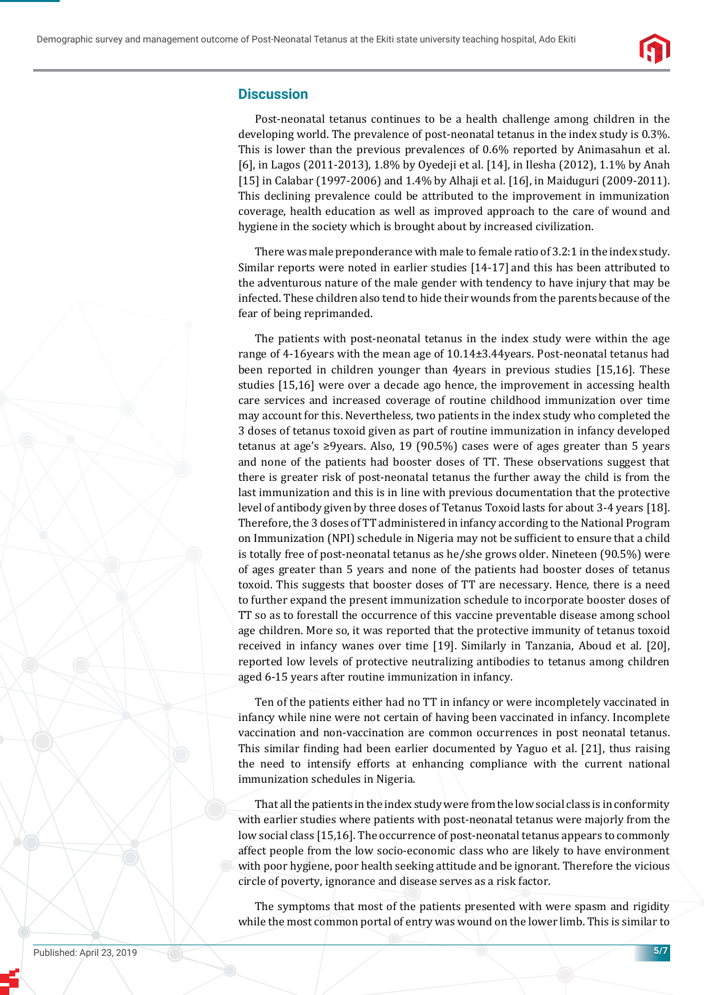

## **Discussion**

Post-neonatal tetanus continues to be a health challenge among children in the developing world. The prevalence of post-neonatal tetanus in the index study is 0.3%. This is lower than the previous prevalences of 0.6% reported by Animasahun et al. [6], in Lagos (2011-2013), 1.8% by Oyedeji et al. [14], in Ilesha (2012), 1.1% by Anah [15] in Calabar (1997-2006) and 1.4% by Alhaji et al. [16], in Maiduguri (2009-2011). This declining prevalence could be attributed to the improvement in immunization coverage, health education as well as improved approach to the care of wound and hygiene in the society which is brought about by increased civilization.

There was male preponderance with male to female ratio of 3.2:1 in the index study. Similar reports were noted in earlier studies [14-17] and this has been attributed to the adventurous nature of the male gender with tendency to have injury that may be infected. These children also tend to hide their wounds from the parents because of the fear of being reprimanded.

The patients with post-neonatal tetanus in the index study were within the age range of 4-16years with the mean age of 10.14±3.44years. Post-neonatal tetanus had been reported in children younger than 4years in previous studies [15,16]. These studies [15,16] were over a decade ago hence, the improvement in accessing health care services and increased coverage of routine childhood immunization over time may account for this. Nevertheless, two patients in the index study who completed the 3 doses of tetanus toxoid given as part of routine immunization in infancy developed tetanus at age's ≥9years. Also, 19 (90.5%) cases were of ages greater than 5 years and none of the patients had booster doses of TT. These observations suggest that there is greater risk of post-neonatal tetanus the further away the child is from the last immunization and this is in line with previous documentation that the protective level of antibody given by three doses of Tetanus Toxoid lasts for about 3-4 years [18]. Therefore, the 3 doses of TT administered in infancy according to the National Program on Immunization (NPI) schedule in Nigeria may not be sufficient to ensure that a child is totally free of post-neonatal tetanus as he/she grows older. Nineteen (90.5%) were of ages greater than 5 years and none of the patients had booster doses of tetanus toxoid. This suggests that booster doses of TT are necessary. Hence, there is a need to further expand the present immunization schedule to incorporate booster doses of TT so as to forestall the occurrence of this vaccine preventable disease among school age children. More so, it was reported that the protective immunity of tetanus toxoid received in infancy wanes over time [19]. Similarly in Tanzania, Aboud et al. [20], reported low levels of protective neutralizing antibodies to tetanus among children aged 6-15 years after routine immunization in infancy.

Ten of the patients either had no TT in infancy or were incompletely vaccinated in infancy while nine were not certain of having been vaccinated in infancy. Incomplete vaccination and non-vaccination are common occurrences in post neonatal tetanus. This similar finding had been earlier documented by Yaguo et al. [21], thus raising the need to intensify efforts at enhancing compliance with the current national immunization schedules in Nigeria.

That all the patients in the index study were from the low social class is in conformity with earlier studies where patients with post-neonatal tetanus were majorly from the low social class [15,16]. The occurrence of post-neonatal tetanus appears to commonly affect people from the low socio-economic class who are likely to have environment with poor hygiene, poor health seeking attitude and be ignorant. Therefore the vicious circle of poverty, ignorance and disease serves as a risk factor.

The symptoms that most of the patients presented with were spasm and rigidity while the most common portal of entry was wound on the lower limb. This is similar to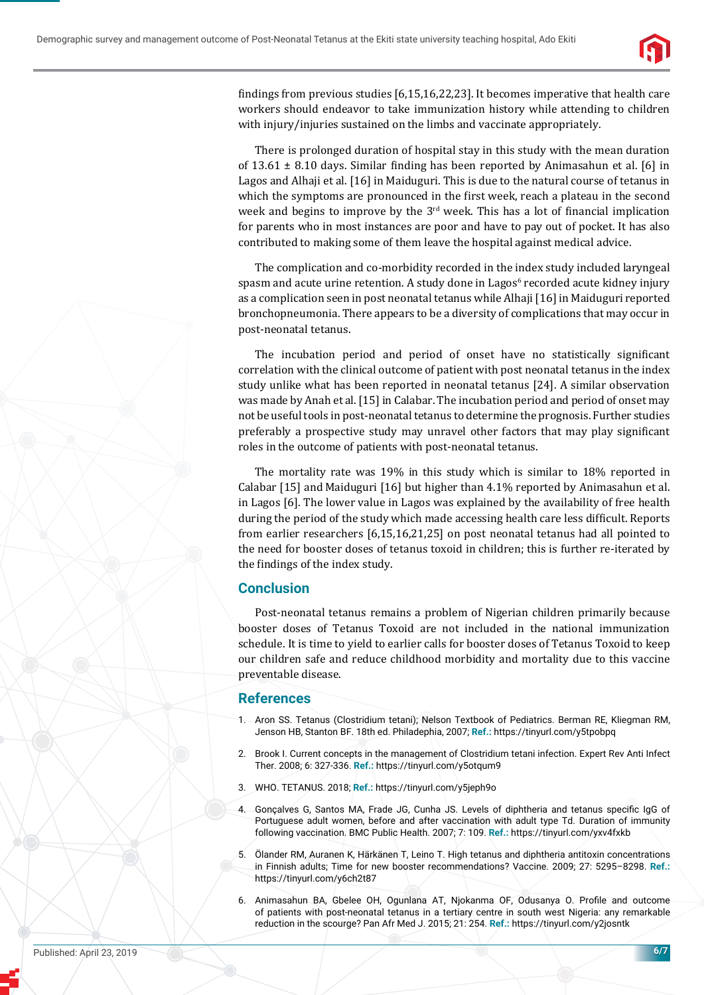

findings from previous studies  $[6,15,16,22,23]$ . It becomes imperative that health care workers should endeavor to take immunization history while attending to children with injury/injuries sustained on the limbs and vaccinate appropriately.

There is prolonged duration of hospital stay in this study with the mean duration of  $13.61 \pm 8.10$  days. Similar finding has been reported by Animasahun et al. [6] in Lagos and Alhaji et al. [16] in Maiduguri. This is due to the natural course of tetanus in which the symptoms are pronounced in the first week, reach a plateau in the second week and begins to improve by the  $3<sup>rd</sup>$  week. This has a lot of financial implication for parents who in most instances are poor and have to pay out of pocket. It has also contributed to making some of them leave the hospital against medical advice.

The complication and co-morbidity recorded in the index study included laryngeal spasm and acute urine retention. A study done in Lagos<sup>6</sup> recorded acute kidney injury as a complication seen in post neonatal tetanus while Alhaji [16] in Maiduguri reported bronchopneumonia. There appears to be a diversity of complications that may occur in post-neonatal tetanus.

The incubation period and period of onset have no statistically significant correlation with the clinical outcome of patient with post neonatal tetanus in the index study unlike what has been reported in neonatal tetanus [24]. A similar observation was made by Anah et al. [15] in Calabar. The incubation period and period of onset may not be useful tools in post-neonatal tetanus to determine the prognosis. Further studies preferably a prospective study may unravel other factors that may play significant roles in the outcome of patients with post-neonatal tetanus.

The mortality rate was 19% in this study which is similar to 18% reported in Calabar [15] and Maiduguri [16] but higher than 4.1% reported by Animasahun et al. in Lagos [6]. The lower value in Lagos was explained by the availability of free health during the period of the study which made accessing health care less difficult. Reports from earlier researchers [6,15,16,21,25] on post neonatal tetanus had all pointed to the need for booster doses of tetanus toxoid in children; this is further re-iterated by the findings of the index study.

## **Conclusion**

Post-neonatal tetanus remains a problem of Nigerian children primarily because booster doses of Tetanus Toxoid are not included in the national immunization schedule. It is time to yield to earlier calls for booster doses of Tetanus Toxoid to keep our children safe and reduce childhood morbidity and mortality due to this vaccine preventable disease.

## **References**

- 1. Aron SS. Tetanus (Clostridium tetani); Nelson Textbook of Pediatrics. Berman RE, Kliegman RM, Jenson HB, Stanton BF. 18th ed. Philadephia, 2007; **Ref.:** https://tinyurl.com/y5tpobpq
- 2. Brook I. Current concepts in the management of Clostridium tetani infection. Expert Rev Anti Infect Ther. 2008; 6: 327-336. **Ref.:** https://tinyurl.com/y5otqum9
- 3. WHO. TETANUS. 2018; **Ref.:** https://tinyurl.com/y5jeph9o
- 4. Goncalves G, Santos MA, Frade JG, Cunha JS. Levels of diphtheria and tetanus specific IgG of Portuguese adult women, before and after vaccination with adult type Td. Duration of immunity following vaccination. BMC Public Health. 2007; 7: 109. **Ref.:** https://tinyurl.com/yxv4fxkb
- 5. Ölander RM, Auranen K, Härkänen T, Leino T. High tetanus and diphtheria antitoxin concentrations in Finnish adults; Time for new booster recommendations? Vaccine. 2009; 27: 5295–8298. **Ref.:** https://tinyurl.com/y6ch2t87
- 6. Animasahun BA, Gbelee OH, Ogunlana AT, Njokanma OF, Odusanya O. Profile and outcome of patients with post-neonatal tetanus in a tertiary centre in south west Nigeria: any remarkable reduction in the scourge? Pan Afr Med J. 2015; 21: 254. **Ref.:** https://tinyurl.com/y2josntk